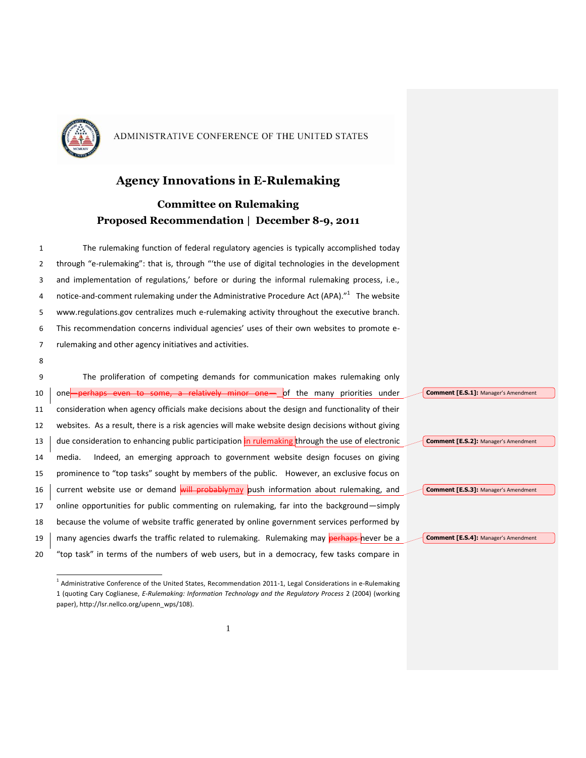

### **Agency Innovations in E-Rulemaking**

## **Committee on Rulemaking Proposed Recommendation | December 8-9, 2011**

 The rulemaking function of federal regulatory agencies is typically accomplished today through "e-rulemaking": that is, through "'the use of digital technologies in the development and implementation of regulations,' before or during the informal rulemaking process, i.e., 4 notice-and-comment rulemaking under the Administrative Procedure Act (APA)."<sup>1</sup> The website www.regulations.gov centralizes much e-rulemaking activity throughout the executive branch. This recommendation concerns individual agencies' uses of their own websites to promote e- rulemaking and other agency initiatives and activities. 8

9 The proliferation of competing demands for communication makes rulemaking only 10 one-perhaps even to some, a relatively minor one-of the many priorities under 11 consideration when agency officials make decisions about the design and functionality of their 12 websites. As a result, there is a risk agencies will make website design decisions without giving 13  $\frac{1}{2}$  due consideration to enhancing public participation in rulemaking through the use of electronic 14 media. Indeed, an emerging approach to government website design focuses on giving 15 prominence to "top tasks" sought by members of the public. However, an exclusive focus on 16 current website use or demand will probably may push information about rulemaking, and 17 online opportunities for public commenting on rulemaking, far into the background—simply 18 because the volume of website traffic generated by online government services performed by 19 many agencies dwarfs the traffic related to rulemaking. Rulemaking may perhaps never be a 20 "top task" in terms of the numbers of web users, but in a democracy, few tasks compare in **Comment [E.S.1]:** Manager's Amendment **Comment [E.S.2]:** Manager's Amendment **Comment [E.S.3]:** Manager's Amendment **Comment [E.S.4]:** Manager's Amendment

 $\overline{a}$ <sup>1</sup> Administrative Conference of the United States, Recommendation 2011-1, Legal Considerations in e-Rulemaking 1 (quoting Cary Coglianese, *E-Rulemaking: Information Technology and the Regulatory Process* 2 (2004) (working paper), http://lsr.nellco.org/upenn\_wps/108).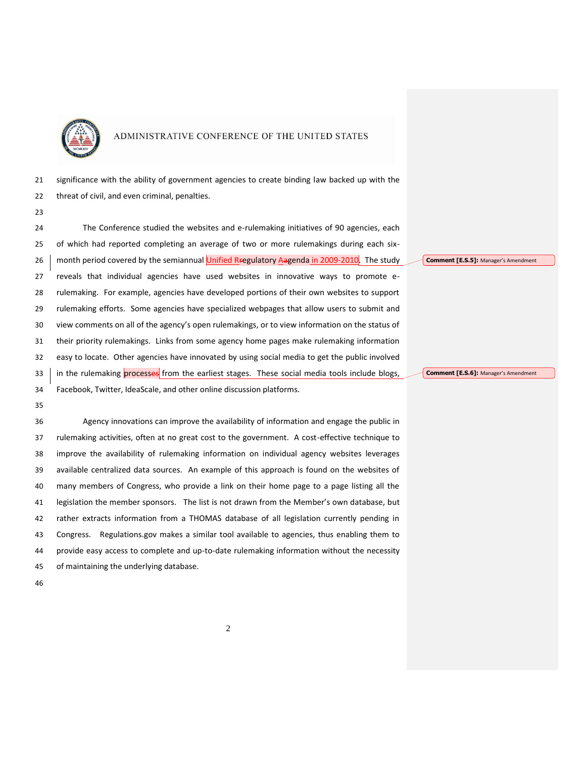

 significance with the ability of government agencies to create binding law backed up with the threat of civil, and even criminal, penalties.

 The Conference studied the websites and e-rulemaking initiatives of 90 agencies, each of which had reported completing an average of two or more rulemakings during each six-26 month period covered by the semiannual Unified Rregulatory Aagenda in 2009-2010. The study reveals that individual agencies have used websites in innovative ways to promote e- rulemaking. For example, agencies have developed portions of their own websites to support rulemaking efforts. Some agencies have specialized webpages that allow users to submit and view comments on all of the agency's open rulemakings, or to view information on the status of their priority rulemakings. Links from some agency home pages make rulemaking information easy to locate. Other agencies have innovated by using social media to get the public involved 33 in the rulemaking processes from the earliest stages. These social media tools include blogs, Facebook, Twitter, IdeaScale, and other online discussion platforms.

 Agency innovations can improve the availability of information and engage the public in rulemaking activities, often at no great cost to the government. A cost-effective technique to improve the availability of rulemaking information on individual agency websites leverages available centralized data sources. An example of this approach is found on the websites of many members of Congress, who provide a link on their home page to a page listing all the legislation the member sponsors. The list is not drawn from the Member's own database, but rather extracts information from a THOMAS database of all legislation currently pending in Congress. Regulations.gov makes a similar tool available to agencies, thus enabling them to provide easy access to complete and up-to-date rulemaking information without the necessity of maintaining the underlying database.

**Comment [E.S.5]:** Manager's Amendment

**Comment [E.S.6]:** Manager's Amendment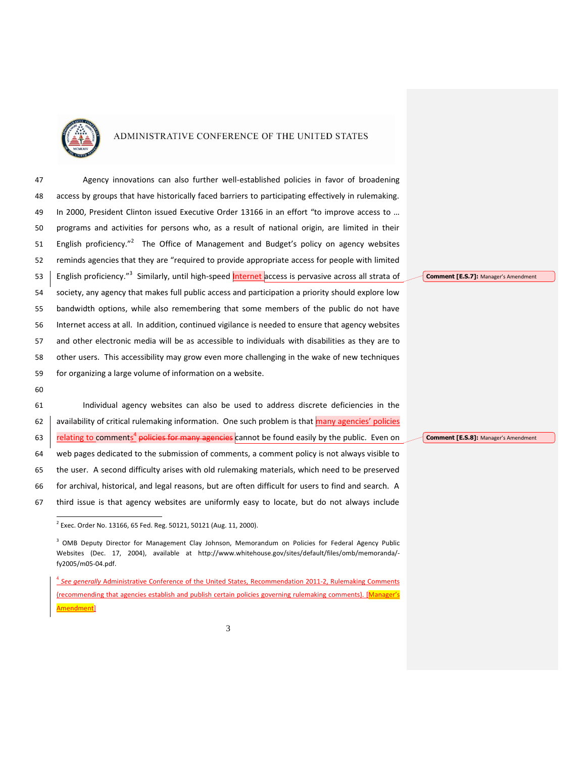

 Agency innovations can also further well-established policies in favor of broadening access by groups that have historically faced barriers to participating effectively in rulemaking. In 2000, President Clinton issued Executive Order 13166 in an effort "to improve access to … programs and activities for persons who, as a result of national origin, are limited in their 51 English proficiency."<sup>2</sup> The Office of Management and Budget's policy on agency websites reminds agencies that they are "required to provide appropriate access for people with limited 53 | English proficiency."<sup>3</sup> Similarly, until high-speed **Internet** access is pervasive across all strata of society, any agency that makes full public access and participation a priority should explore low bandwidth options, while also remembering that some members of the public do not have Internet access at all. In addition, continued vigilance is needed to ensure that agency websites and other electronic media will be as accessible to individuals with disabilities as they are to other users. This accessibility may grow even more challenging in the wake of new techniques for organizing a large volume of information on a website.

 Individual agency websites can also be used to address discrete deficiencies in the 62 availability of critical rulemaking information. One such problem is that many agencies' policies **Final and Trains and Trains and Trains and Trains** cannot be found easily by the public. Even on web pages dedicated to the submission of comments, a comment policy is not always visible to the user. A second difficulty arises with old rulemaking materials, which need to be preserved for archival, historical, and legal reasons, but are often difficult for users to find and search. A third issue is that agency websites are uniformly easy to locate, but do not always include

**Comment [E.S.7]:** Manager's Amendment

**Comment [E.S.8]:** Manager's Amendment

 2 Exec. Order No. 13166, 65 Fed. Reg. 50121, 50121 (Aug. 11, 2000).

<sup>&</sup>lt;sup>3</sup> OMB Deputy Director for Management Clay Johnson, Memorandum on Policies for Federal Agency Public Websites (Dec. 17, 2004), available at http://www.whitehouse.gov/sites/default/files/omb/memoranda/ fy2005/m05-04.pdf.

 *See generally* Administrative Conference of the United States, Recommendation 2011-2, Rulemaking Comments (recommending that agencies establish and publish certain policies governing rulemaking comments). [Manager's nendment<sup>1</sup>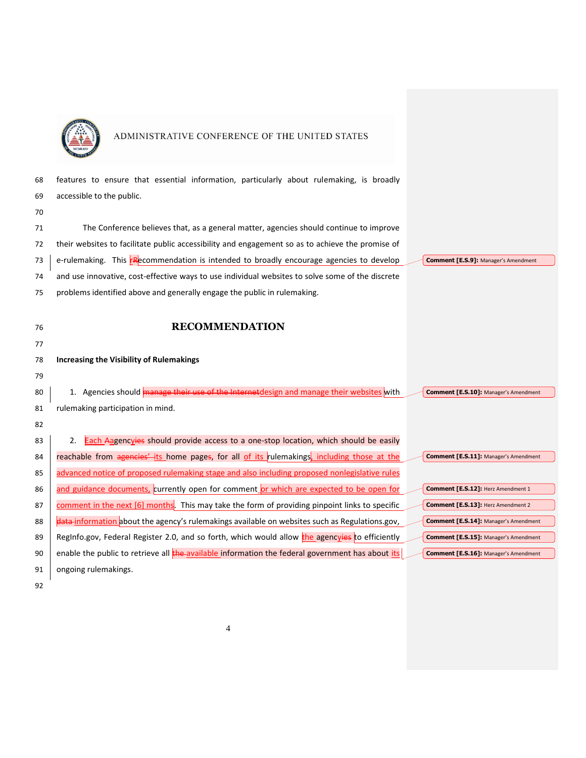

| 68 | features to ensure that essential information, particularly about rulemaking, is broadly         |                                              |
|----|--------------------------------------------------------------------------------------------------|----------------------------------------------|
| 69 | accessible to the public.                                                                        |                                              |
| 70 |                                                                                                  |                                              |
| 71 | The Conference believes that, as a general matter, agencies should continue to improve           |                                              |
| 72 | their websites to facilitate public accessibility and engagement so as to achieve the promise of |                                              |
| 73 | e-rulemaking. This <b>FR</b> ecommendation is intended to broadly encourage agencies to develop  | Comment [E.S.9]: Manager's Amendment         |
| 74 | and use innovative, cost-effective ways to use individual websites to solve some of the discrete |                                              |
| 75 | problems identified above and generally engage the public in rulemaking.                         |                                              |
|    |                                                                                                  |                                              |
| 76 | <b>RECOMMENDATION</b>                                                                            |                                              |
| 77 |                                                                                                  |                                              |
| 78 | <b>Increasing the Visibility of Rulemakings</b>                                                  |                                              |
| 79 |                                                                                                  |                                              |
| 80 | 1. Agencies should manage their use of the Internet design and manage their websites with        | <b>Comment [E.S.10]: Manager's Amendment</b> |
| 81 | rulemaking participation in mind.                                                                |                                              |
| 82 |                                                                                                  |                                              |
| 83 | Each Aagencyies should provide access to a one-stop location, which should be easily<br>2.       |                                              |
| 84 | reachable from agencies' its home pages, for all of its rulemakings, including those at the      | Comment [E.S.11]: Manager's Amendment        |
| 85 | advanced notice of proposed rulemaking stage and also including proposed nonlegislative rules    |                                              |
| 86 | and guidance documents, currently open for comment or which are expected to be open for          | Comment [E.S.12]: Herz Amendment 1           |
| 87 | comment in the next [6] months. This may take the form of providing pinpoint links to specific   | Comment [E.S.13]: Herz Amendment 2           |
| 88 | data-information about the agency's rulemakings available on websites such as Regulations.gov,   | <b>Comment [E.S.14]: Manager's Amendment</b> |
| 89 | Reginfo.gov, Federal Register 2.0, and so forth, which would allow the agencyies to efficiently  | Comment [E.S.15]: Manager's Amendment        |
| 90 | enable the public to retrieve all the available information the federal government has about its | Comment [E.S.16]: Manager's Amendment        |
| 91 | ongoing rulemakings.                                                                             |                                              |
|    |                                                                                                  |                                              |

92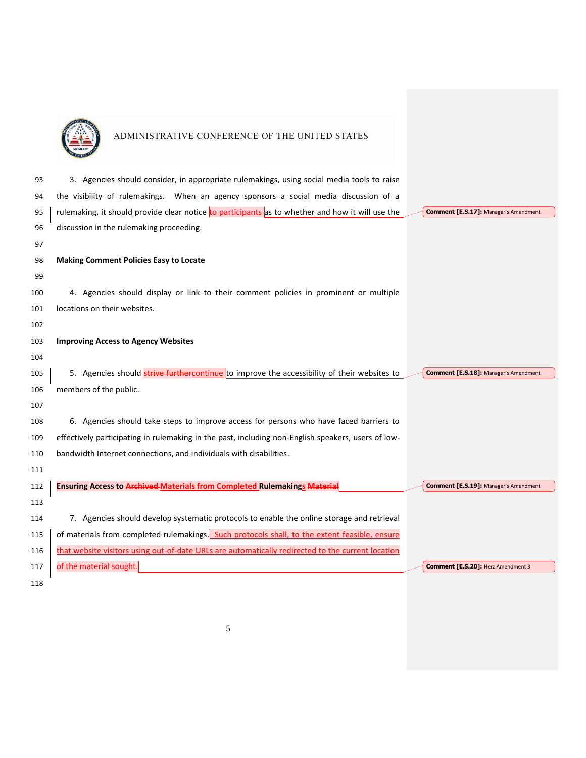

| 93  | 3. Agencies should consider, in appropriate rulemakings, using social media tools to raise              |                                              |
|-----|---------------------------------------------------------------------------------------------------------|----------------------------------------------|
| 94  | the visibility of rulemakings. When an agency sponsors a social media discussion of a                   |                                              |
| 95  | rulemaking, it should provide clear notice <b>to participants</b> as to whether and how it will use the | <b>Comment [E.S.17]: Manager's Amendment</b> |
| 96  | discussion in the rulemaking proceeding.                                                                |                                              |
| 97  |                                                                                                         |                                              |
| 98  | <b>Making Comment Policies Easy to Locate</b>                                                           |                                              |
| 99  |                                                                                                         |                                              |
| 100 | 4. Agencies should display or link to their comment policies in prominent or multiple                   |                                              |
| 101 | locations on their websites.                                                                            |                                              |
| 102 |                                                                                                         |                                              |
| 103 | <b>Improving Access to Agency Websites</b>                                                              |                                              |
| 104 |                                                                                                         |                                              |
| 105 | 5. Agencies should strive furthercontinue to improve the accessibility of their websites to             | <b>Comment [E.S.18]: Manager's Amendment</b> |
| 106 | members of the public.                                                                                  |                                              |
| 107 |                                                                                                         |                                              |
| 108 | 6. Agencies should take steps to improve access for persons who have faced barriers to                  |                                              |
| 109 | effectively participating in rulemaking in the past, including non-English speakers, users of low-      |                                              |
| 110 | bandwidth Internet connections, and individuals with disabilities.                                      |                                              |
| 111 |                                                                                                         |                                              |
| 112 | <b>Ensuring Access to Archived Materials from Completed Rulemakings Material</b>                        | <b>Comment [E.S.19]: Manager's Amendment</b> |
| 113 |                                                                                                         |                                              |
| 114 | 7. Agencies should develop systematic protocols to enable the online storage and retrieval              |                                              |
| 115 | of materials from completed rulemakings. Such protocols shall, to the extent feasible, ensure           |                                              |
| 116 | that website visitors using out-of-date URLs are automatically redirected to the current location       |                                              |
| 117 | of the material sought.                                                                                 | Comment [E.S.20]: Herz Amendment 3           |
| 118 |                                                                                                         |                                              |